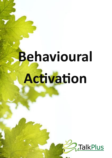# **Behavioural AĐivaion**

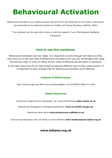## **Behavioural Activation**

Behavioural Activation is an evidence based intervention for the treatment of low mood or depression, recommended by the National Institute for Health and Clinical Excellence (NIHCE, 2009).

This workbook can be used either alone or with the support of your Psychological Wellbeing Practitioner.

#### **How to use this workbook.**

Behavioural Activation has four steps. It is important to work through one step at a time, only move on to the next step of Behavioural Activation once you are comfortable with using the previous step. It is key to follow all four steps of Behavioural Activation in sequence.

It can take some time for an intervention to become effective and to show improvement. It is important to allow enough time for behavioural activation to be effective.

#### **Evidence of Effectiveness;**

http://psycnet.apa.org/?&fa=main.doiLanding&doi=10.1037/0022-006X.74.4.658

#### **Helpful Resources;**

A Recovery Programme for Depression, by Lovell and Richards **cedar.exeter.ac.uk** 

Behavioural Strategies for Managing Depression **www.cci.health.wa.gov.au** 

Becoming More Active **www.primarycare-selfhelp.co.uk**

Overcoming Depression and Low Mood, by Chris Williams www.booksonprescription.org.uk

#### **www.talkplus.org.uk**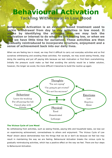## **Behavioural Activation Tackling Withdrawal in Low Mood**

**Behavioural Activation is an evidence based treatment used to tackle withdrawal from day to day activities in low mood. It works by identifying the activities that we may lack the motivation or interest to do when we are feeling low, or when we find we have little time for ourselves. These activities are then gradually reintroduced to incorporate structure, enjoyment and a sense of achievement back into our daily lives.** 

When we are feeling low in mood, we may find it difficult to carry out everyday activities and so find ourselves withdrawing and avoiding these activities. For example, we may avoid seeing friends, stop doing the washing and put off paying bills because we lack motivation or find them overwhelming. Initially the pressure could make us feel that avoiding the activity would be a better solution, however, the longer we avoid, the more difficult it becomes to build the routine up again.



#### **The Vicious Cycle of Low Mood**

By withdrawing from activities, such as seeing friends, paying bills and household tasks, we lose out on experiencing achievement, connectedness to others and enjoyment. 'The Vicious Cycle of Low Mood' shown above demonstrates how the things that we do or don't do because we feel low may result in maintaining the way we are feeling. Behavioural Activation breaks the vicious cycle by gradually reintroducing activities, which has a positive effect on the way we feel. There are four steps to Behavioural Activation.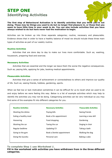### **STEP ONE Identifying Activities**



**The first step of Behavioural Activation is to identify activities that you think you're not doing. These may be things you used to do but no longer find pleasure in, or those that you seem to have little time in your week to do. You can also include activities that you have always wished to do but have never had the motivation to begin.** 

Activities can be broken up into three separate categories; routine, necessary and pleasurable. Evidence shows that in order to have a healthy balance of mood we should include these three main types of activities as part of our weekly routine.

#### **Routine Activities**

 Activities that are done day to day to make our lives more comfortable. Such as; washing, housework, preparing food and exercise.

#### **Necessary Activities**

Activities that are essential and the longer we leave them the worse the negative consequences. Such as; paying bills, applying for jobs, booking medical appointments.

#### **Pleasurable Activities**

Activities that give a sense of achievement or connectedness to others and improve our quality of life. Such as; seeing friends, hobbies, gardening, sports.

When we feel low or lack motivation sometimes it can be difficult for us to recall what we used to do and enjoy before we were feeling this way. Below is a list of example activities which may help to identify the activities you may not be doing. Categorising activities can be very individual so you may find some of the examples fit into different categories for you.

| <b>Routine Activities</b> | <b>Necessary Activities</b> | <b>Pleasurable Activities</b> |
|---------------------------|-----------------------------|-------------------------------|
| Washing the dishes        | Paying bills                | Seeing friends                |
| Eating a healthy meal     | Book a Drs appointment      | Learning a new skill          |
| Hoovering                 | Food shopping               | Gardening                     |
| Washing the car           | Taxing the car              | Singing in choir              |
| Regular bedtime           | Updating CV                 | Taking a bath                 |
| Going to the gym          | Book a Dentist appointment  | Walking the dog               |
| Doing the laundry         | Personal care               | Baking a cake                 |
|                           |                             |                               |

**To complete Step 1 use** *Worksheet 1***.** 

**Fill in the worksheet with activities you have withdrawn from in the three different categories.**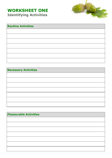## **WORKSHEET ONE Identifying Activities**



| <b>Routine Activities</b> |  |  |
|---------------------------|--|--|
|                           |  |  |
|                           |  |  |
|                           |  |  |
|                           |  |  |
|                           |  |  |
|                           |  |  |
|                           |  |  |

**Necessary Activities** 

| <b>Pleasurable Activities</b> |  |  |
|-------------------------------|--|--|
|                               |  |  |
|                               |  |  |
|                               |  |  |
|                               |  |  |
|                               |  |  |
|                               |  |  |
|                               |  |  |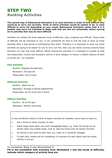## **STEP TWO Ranking Activities**



**The second step of Behavioural Activation is to rank activities in order of how difficult they would be to carry out currently. Think of which activities would be easiest to do, or most difficult to carry out depending on your mood. Behavioural Activation works best if it is graded, only carry out activities to begin with that you feel are achievable, before moving on to activities that may be more difficult.** 

Activities are ranked into three separate levels of difficulty; easy, moderate and difficult. These levels of difficulty will be individual to you. It can sometimes be hard to find the time or build up these activities after a long period of withdrawing from them. Therefore it is important to work out which activities are going to be easier for you to carry out first, then you can slowly working towards those activities you may find more difficult. Whilst ranking the activities it is important to include at least one pleasurable, routine and necessary activity in each category to ensure a healthy balance of each is carried out. For example;

#### **Easy Activities**

Routine: Mopping the bathroom Necessary: Find gas bill Pleasurable: Call a friend

#### **Moderate Activities**

Routine: Wash the car Necessary: Arrange a Dentist appointment Pleasurable: Go for lunch with a friend

#### **Difficult Activities**

Routine: Go to the gym Necessary: Monthly food shop

It may be difficult initially to think of easier activities to complete, some ideas to help are;

- Ask a friend or family member to help.
- Break larger tasks down into more manageable steps, e.g. Clean the house can be broken down into smaller tasks, such as 'dust the living room for twenty minutes'.
- No activity is too small to start with, e.g. Listen to a voicemail message.
- To start with, maybe aim for completing 10 minutes of a task rather than the whole activity in one go.

**To complete Step 2 use** *Worksheet 2***.** 

**Fill in the worksheet with activities from** *Worksheet 1* **into the levels of difficulty, indicate which category of activity they are.**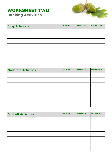### **WORKSHEET TWO Ranking Activities**



| <b>Easy Activities</b> | <b>Routine</b> | <b>Necessary</b> | Pleasurable |
|------------------------|----------------|------------------|-------------|
|                        |                |                  |             |
|                        |                |                  |             |
|                        |                |                  |             |
|                        |                |                  |             |
|                        |                |                  |             |
|                        |                |                  |             |
|                        |                |                  |             |

| <b>Moderate Activities</b> | <b>Routine</b> | Necessary | <b>Pleasurable</b> |
|----------------------------|----------------|-----------|--------------------|
|                            |                |           |                    |
|                            |                |           |                    |
|                            |                |           |                    |
|                            |                |           |                    |
|                            |                |           |                    |
|                            |                |           |                    |
|                            |                |           |                    |

| <b>Difficult Activities</b> | <b>Routine</b> | <b>Necessary</b> | Pleasurable |
|-----------------------------|----------------|------------------|-------------|
|                             |                |                  |             |
|                             |                |                  |             |
|                             |                |                  |             |
|                             |                |                  |             |
|                             |                |                  |             |
|                             |                |                  |             |
|                             |                |                  |             |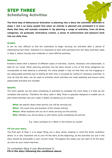## **STEP THREE Scheduling Activities**



**The third step of Behavioural Activation is planning into a diary the activities identified in steps 1 and 2 as many people find when an activity is planned and scheduled it is more likely that they will actually complete it. By planning a range of activities, from all three categories, we gradually reintroduce routine, a sense of achievement and pleasure back into our daily lives.** 

#### **Graded.**

It can be very difficult to find the motivation to begin carrying out activities after a period of withdrawing from them, therefore it is important to start with activities from the 'Easy Activities' table in Step 2, before moving onto moderate or more difficult activities.

#### **Balanced.**

Evidence shows that a balance of different types of activities, routine, necessary and pleasurable, is best for our mood. When planning activities into the diary ensure a mix of the three categories are incorporated so that balance is achieved. For some people it may be that they are not engaging in any pleasurable activities due to feeling all their time is occupied by routine or necessary activities. It may be that the diary can be used to prioritise which activities are most essential and ensure some pleasurable activities are included.

#### **Specific.**

The more specific we are when scheduling in activities to complete the more likely it is that we will complete that activity. Therefore the diary used in Step Three is specially designed to enable you to plan these activities into your week in detail, by asking you to include;

**What:** Be specific about what activity you will be carrying out. **When:** The exact time and duration of the chosen activity. **Where:** What locations will you be in while carrying out the activity. **Who:** Whether you will be alone or with others while completing the activity.

*E.g. Clean worktops at 4:30pm in the kitchen by myself.*

#### **Fill out your diary.**

The final part of Step 3 is to begin filling out a diary sheet, keeping in mind the three conditions above. It is very important not to over fill the diary at the beginning, as the activities you put in the diary should be achievable in your current mood. Throughout the weeks you can start to fill the diary up more as your mood improves.

#### **To complete Step 3 use** *Worksheet 3.* **Fill in the diary following the conditions above.**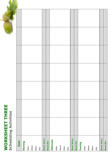# **WORKSHEET THREE WORKSHEET THREE**<br>Scheduling Activities **Scheduling Activities**

| Date: | Morning | What | Where | When | Who | Mood before: | Mood after: | Afternoon | What | Where | When | Who | Mood before: | Mood after: | Evening | What | Where | When | Who | Mood before: | Mood after: |
|-------|---------|------|-------|------|-----|--------------|-------------|-----------|------|-------|------|-----|--------------|-------------|---------|------|-------|------|-----|--------------|-------------|
|       |         |      |       |      |     |              |             |           |      |       |      |     |              |             |         |      |       |      |     |              |             |
|       |         |      |       |      |     |              |             |           |      |       |      |     |              |             |         |      |       |      |     |              |             |
|       |         |      |       |      |     |              |             |           |      |       |      |     |              |             |         |      |       |      |     |              |             |
|       |         |      |       |      |     |              |             |           |      |       |      |     |              |             |         |      |       |      |     |              |             |
|       |         |      |       |      |     |              |             |           |      |       |      |     |              |             |         |      |       |      |     |              |             |
|       |         |      |       |      |     |              |             |           |      |       |      |     |              |             |         |      |       |      |     |              |             |
|       |         |      |       |      |     |              |             |           |      |       |      |     |              |             |         |      |       |      |     |              |             |
|       |         |      |       |      |     |              |             |           |      |       |      |     |              |             |         |      |       |      |     |              |             |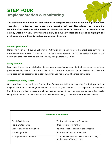## **STEP FOUR Implementation & Monitoring**



**The final step of Behavioural Activation is to complete the activities you have planned into your diary. Monitoring your mood while carrying out activities allows you to see the benefits of increasing activity levels. It is important to be flexible and to increase levels of activity week by week. Reviewing the diary on a weekly basis can help us to highlight our achievements and identify and overcome any obstacles.** 

#### **Monitor your mood.**

Monitoring your mood during Behavioural Activation allows you to see the effect that carrying out these activities can have on your mood. The diary allows space to record the intensity of your mood before and also after carrying out the activity, using a scale of 0-100%.

#### **Being flexible.**

Day to day life can throw obstacles into our path unexpectedly, it may be that you cannot complete a planned activity due to such obstacles. It is therefore important to be flexible, activities not completed can be postponed to a later date when you feel it would be more achievable.

#### **Increasing activity levels.**

Once you have completed your first week of Behavioural Activation you may find that you wish to begin to add more activities gradually into the diary at your own pace. It is important to remember that this is a gradual process and should not be rushed, it may be that you spend a few weeks completing a small number of easier activities before moving on to those that are more difficult.

| <b>Obstacles &amp; Solutions</b> |                                                                              |  |  |  |  |  |  |
|----------------------------------|------------------------------------------------------------------------------|--|--|--|--|--|--|
| Too difficult to start           | Try the activity for just 5 minutes                                          |  |  |  |  |  |  |
| Tasks are too large              | Break tasks down further                                                     |  |  |  |  |  |  |
| Lack of energy or motivation     | Be time specific instead of task specific                                    |  |  |  |  |  |  |
| Not enough time                  | Prioritise and ensure a balance                                              |  |  |  |  |  |  |
| No improvement in mood           | Complete activities in spite of how you feel,<br>not because of how you feel |  |  |  |  |  |  |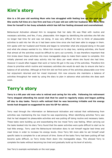## **Kim's story**

**Kim is a 36 year old working Mum who has struggled with feeling low for the past year. She works full time at a law firm and has a 9 year old son with her husband. Kim finds little time for herself in her busy schedule which has left her feeling stressed and overwhelmed.** 

Behavioural Activation allowed Kim to recognise that her daily life was filled with routine and necessary activities, and few, if any, pleasurable. Kim began by identifying the activities she felt she no longer had time for and was not doing. It was very difficult for Kim to think of pleasurable activities to add into her life as it had been some time since she had been able to engage in them. Kim spoke with her husband and friends and began to remember what she enjoyed doing in the past and what she always wanted to try. When Kim moved on to step two, ranking activities, she found that almost all the activities would be difficult to carry out currently. It was therefore important that Kim broke down these activities into more manageable steps to make them easier to complete. Kim initially planned one small easy activity into her diary per week where she found she had time. However it would often happen that work or home life got in the way of the activities. Therefore Kim chose to prioritise which routine and necessary activities she would do each day to ensure she had a balance of all activities. Although at first Kim did not find some of the activities pleasurable over time her enjoyment returned and her mood improved. Kim now ensures she maintains a balance of activities throughout her week by using the diary to plan in advance what activities she does each week.

## **Terry's story**

**Terry is a 68 year old man who is retired and caring for his wife. Following his retirement Terry stopped attending his social club that he used to regularly enjoy and began putting off day to day tasks. Terry's wife noticed that he was becoming irritable and his energy levels had dropped so suggested he saw his GP for advice.** 

Terry read through the information on Behavioural Activation and noticed that withdrawing from activities was maintaining the low mood he was experiencing. When identifying activities Terry saw that he had stopped his pleasurable activities and was putting off doing routine and necessary tasks. These tasks were building up and exacerbating the low mood Terry was feeling. When carrying out the tasks booked into his diary Terry found that the easier activities were quite difficult to start as he had little energy. Terry used the Behavioural Activation diary to set himself regular bed times and meal times in order to increase his energy levels. Once Terry felt more able he set himself small specific tasks to complete for a set amount of time. Some of the tasks Terry had been putting off had become quite difficult, so Terry broke them down into manageable steps. This allowed Terry to complete the tasks without becoming too tired and gradually build up his level of activity.

See Terry's example worksheets on the next page.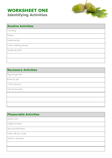## **WORKSHEET ONE Identifying Activities**



| <b>Routine Activities</b> |  |
|---------------------------|--|
| Laundry                   |  |
| Dishes                    |  |
| Make the bed              |  |
| Cook a healthy dinner     |  |
| Sweep the patio           |  |
|                           |  |
|                           |  |

### **Necessary Activities**

Pay the gas bill

Book flu jab

Collect pension

Call the plumber

## **Pleasurable Activities**  Social club Coffee with Bill See Grandchildren Take wife for a meal Walk in the park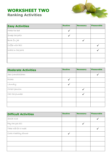## **WORKSHEET TWO Ranking Activities**



| <b>Easy Activities</b> | <b>Routine</b> | <b>Necessary</b> | <b>Pleasurable</b> |
|------------------------|----------------|------------------|--------------------|
| Make the bed           |                |                  |                    |
| Sweep the patio        |                |                  |                    |
| Book flujab            |                |                  |                    |
| Coffee with Bill       |                |                  |                    |
| Walk in the park       |                |                  |                    |
|                        |                |                  |                    |
|                        |                |                  |                    |

| <b>Moderate Activities</b> | <b>Routine</b> | <b>Necessary</b> | Pleasurable |
|----------------------------|----------------|------------------|-------------|
| See Grandchildren          |                |                  |             |
| Dishes                     |                |                  |             |
| Laundry                    |                |                  |             |
| Collect pension            |                |                  |             |
| Call the plumber           |                |                  |             |
|                            |                |                  |             |
|                            |                |                  |             |

| <b>Difficult Activities</b> | <b>Routine</b> | <b>Necessary</b> | <b>Pleasurable</b> |
|-----------------------------|----------------|------------------|--------------------|
| Socíal club                 |                |                  |                    |
| Pay the gas bill            |                |                  |                    |
| Take wife for a meal        |                |                  |                    |
| Cook a healthy dinner       |                |                  |                    |
|                             |                |                  |                    |
|                             |                |                  |                    |
|                             |                |                  |                    |